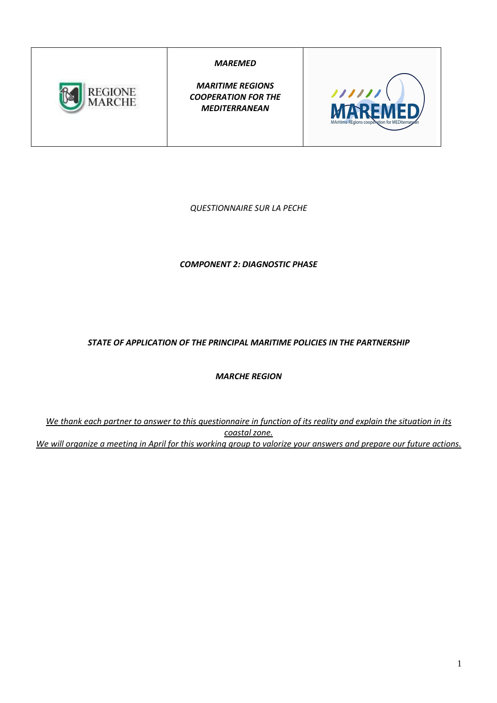

*MAREMED* 

*MARITIME REGIONS COOPERATION FOR THE MEDITERRANEAN* 



*QUESTIONNAIRE SUR LA PECHE* 

*COMPONENT 2: DIAGNOSTIC PHASE* 

*STATE OF APPLICATION OF THE PRINCIPAL MARITIME POLICIES IN THE PARTNERSHIP* 

*MARCHE REGION* 

*We thank each partner to answer to this questionnaire in function of its reality and explain the situation in its coastal zone. We will organize a meeting in April for this working group to valorize your answers and prepare our future actions.*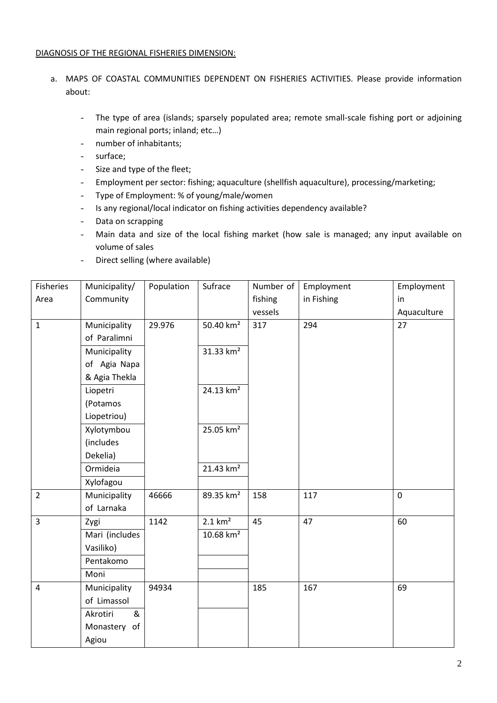#### DIAGNOSIS OF THE REGIONAL FISHERIES DIMENSION:

- a. MAPS OF COASTAL COMMUNITIES DEPENDENT ON FISHERIES ACTIVITIES. Please provide information about:
	- The type of area (islands; sparsely populated area; remote small-scale fishing port or adjoining main regional ports; inland; etc…)
	- number of inhabitants;
	- surface;
	- Size and type of the fleet;
	- Employment per sector: fishing; aquaculture (shellfish aquaculture), processing/marketing;
	- Type of Employment: % of young/male/women
	- Is any regional/local indicator on fishing activities dependency available?
	- Data on scrapping
	- Main data and size of the local fishing market (how sale is managed; any input available on volume of sales
	- Direct selling (where available)

| Fisheries      | Municipality/  | Population | Sufrace               | Number of | Employment | Employment  |
|----------------|----------------|------------|-----------------------|-----------|------------|-------------|
| Area           | Community      |            |                       | fishing   | in Fishing | in          |
|                |                |            |                       | vessels   |            | Aquaculture |
| $\mathbf{1}$   | Municipality   | 29.976     | 50.40 km <sup>2</sup> | 317       | 294        | 27          |
|                | of Paralimni   |            |                       |           |            |             |
|                | Municipality   |            | 31.33 km <sup>2</sup> |           |            |             |
|                | of Agia Napa   |            |                       |           |            |             |
|                | & Agia Thekla  |            |                       |           |            |             |
|                | Liopetri       |            | 24.13 km <sup>2</sup> |           |            |             |
|                | (Potamos       |            |                       |           |            |             |
|                | Liopetriou)    |            |                       |           |            |             |
|                | Xylotymbou     |            | 25.05 km <sup>2</sup> |           |            |             |
|                | (includes      |            |                       |           |            |             |
|                | Dekelia)       |            |                       |           |            |             |
|                | Ormideia       |            | 21.43 km <sup>2</sup> |           |            |             |
|                | Xylofagou      |            |                       |           |            |             |
| $\overline{2}$ | Municipality   | 46666      | 89.35 km <sup>2</sup> | 158       | 117        | $\mathbf 0$ |
|                | of Larnaka     |            |                       |           |            |             |
| $\overline{3}$ | Zygi           | 1142       | $2.1 \text{ km}^2$    | 45        | 47         | 60          |
|                | Mari (includes |            | $10.68 \text{ km}^2$  |           |            |             |
|                | Vasiliko)      |            |                       |           |            |             |
|                | Pentakomo      |            |                       |           |            |             |
|                | Moni           |            |                       |           |            |             |
| $\overline{4}$ | Municipality   | 94934      |                       | 185       | 167        | 69          |
|                | of Limassol    |            |                       |           |            |             |
|                | Akrotiri<br>&  |            |                       |           |            |             |
|                | Monastery of   |            |                       |           |            |             |
|                | Agiou          |            |                       |           |            |             |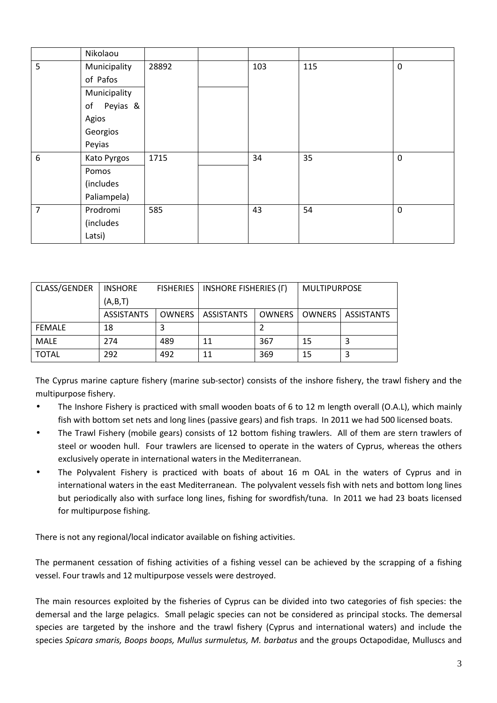|   | Nikolaou       |       |     |     |             |
|---|----------------|-------|-----|-----|-------------|
| 5 | Municipality   | 28892 | 103 | 115 | $\mathbf 0$ |
|   | of Pafos       |       |     |     |             |
|   | Municipality   |       |     |     |             |
|   | Peyias &<br>of |       |     |     |             |
|   | Agios          |       |     |     |             |
|   | Georgios       |       |     |     |             |
|   | Peyias         |       |     |     |             |
| 6 | Kato Pyrgos    | 1715  | 34  | 35  | $\mathbf 0$ |
|   | Pomos          |       |     |     |             |
|   | (includes      |       |     |     |             |
|   | Paliampela)    |       |     |     |             |
| 7 | Prodromi       | 585   | 43  | 54  | $\mathbf 0$ |
|   | (includes      |       |     |     |             |
|   | Latsi)         |       |     |     |             |

| CLASS/GENDER  | <b>FISHERIES</b><br><b>INSHORE</b> |        | <b>INSHORE FISHERIES (F)</b> |               | <b>MULTIPURPOSE</b> |            |
|---------------|------------------------------------|--------|------------------------------|---------------|---------------------|------------|
|               | (A,B,T)                            |        |                              |               |                     |            |
|               | <b>ASSISTANTS</b>                  | OWNERS | ASSISTANTS                   | <b>OWNERS</b> | OWNERS              | ASSISTANTS |
| <b>FEMALE</b> | 18                                 |        |                              |               |                     |            |
| MALE          | 274                                | 489    | 11                           | 367           | 15                  |            |
| <b>TOTAL</b>  | 292                                | 492    | 11                           | 369           | 15                  |            |

The Cyprus marine capture fishery (marine sub-sector) consists of the inshore fishery, the trawl fishery and the multipurpose fishery.

- The Inshore Fishery is practiced with small wooden boats of 6 to 12 m length overall (O.A.L), which mainly fish with bottom set nets and long lines (passive gears) and fish traps. In 2011 we had 500 licensed boats.
- The Trawl Fishery (mobile gears) consists of 12 bottom fishing trawlers. All of them are stern trawlers of steel or wooden hull. Four trawlers are licensed to operate in the waters of Cyprus, whereas the others exclusively operate in international waters in the Mediterranean.
- The Polyvalent Fishery is practiced with boats of about 16 m OAL in the waters of Cyprus and in international waters in the east Mediterranean. The polyvalent vessels fish with nets and bottom long lines but periodically also with surface long lines, fishing for swordfish/tuna. In 2011 we had 23 boats licensed for multipurpose fishing.

There is not any regional/local indicator available on fishing activities.

The permanent cessation of fishing activities of a fishing vessel can be achieved by the scrapping of a fishing vessel. Four trawls and 12 multipurpose vessels were destroyed.

The main resources exploited by the fisheries of Cyprus can be divided into two categories of fish species: the demersal and the large pelagics. Small pelagic species can not be considered as principal stocks. The demersal species are targeted by the inshore and the trawl fishery (Cyprus and international waters) and include the species *Spicara smaris, Boops boops, Mullus surmuletus, M. barbatus* and the groups Octapodidae, Mulluscs and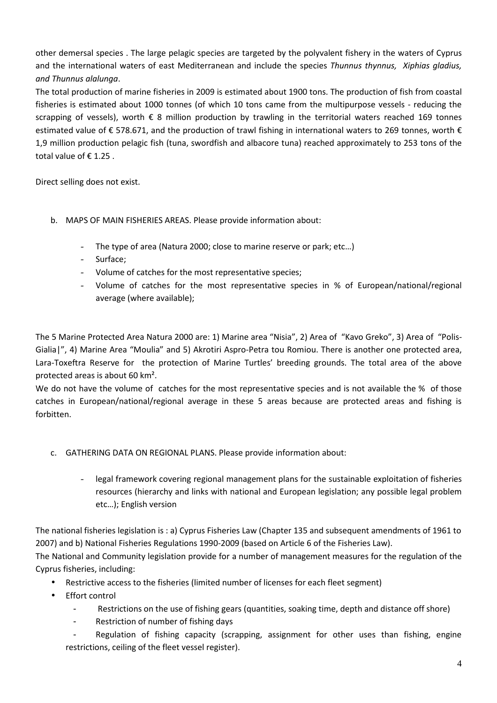other demersal species . The large pelagic species are targeted by the polyvalent fishery in the waters of Cyprus and the international waters of east Mediterranean and include the species *Thunnus thynnus, Xiphias gladius, and Thunnus alalunga*.

The total production of marine fisheries in 2009 is estimated about 1900 tons. The production of fish from coastal fisheries is estimated about 1000 tonnes (of which 10 tons came from the multipurpose vessels - reducing the scrapping of vessels), worth € 8 million production by trawling in the territorial waters reached 169 tonnes estimated value of € 578.671, and the production of trawl fishing in international waters to 269 tonnes, worth € 1,9 million production pelagic fish (tuna, swordfish and albacore tuna) reached approximately to 253 tons of the total value of €1.25.

Direct selling does not exist.

- b. MAPS OF MAIN FISHERIES AREAS. Please provide information about:
	- The type of area (Natura 2000; close to marine reserve or park; etc…)
	- Surface;
	- Volume of catches for the most representative species;
	- Volume of catches for the most representative species in % of European/national/regional average (where available);

The 5 Marine Protected Area Natura 2000 are: 1) Marine area "Nisia", 2) Area of "Kavo Greko", 3) Area of "Polis-Gialia|", 4) Marine Area "Moulia" and 5) Akrotiri Aspro-Petra tou Romiou. There is another one protected area, Lara-Toxeftra Reserve for the protection of Marine Turtles' breeding grounds. The total area of the above protected areas is about 60 km².

We do not have the volume of catches for the most representative species and is not available the % of those catches in European/national/regional average in these 5 areas because are protected areas and fishing is forbitten.

- c. GATHERING DATA ON REGIONAL PLANS. Please provide information about:
	- legal framework covering regional management plans for the sustainable exploitation of fisheries resources (hierarchy and links with national and European legislation; any possible legal problem etc…); English version

The national fisheries legislation is : a) Cyprus Fisheries Law (Chapter 135 and subsequent amendments of 1961 to 2007) and b) National Fisheries Regulations 1990-2009 (based on Article 6 of the Fisheries Law).

The National and Community legislation provide for a number of management measures for the regulation of the Cyprus fisheries, including:

- Restrictive access to the fisheries (limited number of licenses for each fleet segment)
- Effort control
	- Restrictions on the use of fishing gears (quantities, soaking time, depth and distance off shore)
	- Restriction of number of fishing days
	- Regulation of fishing capacity (scrapping, assignment for other uses than fishing, engine restrictions, ceiling of the fleet vessel register).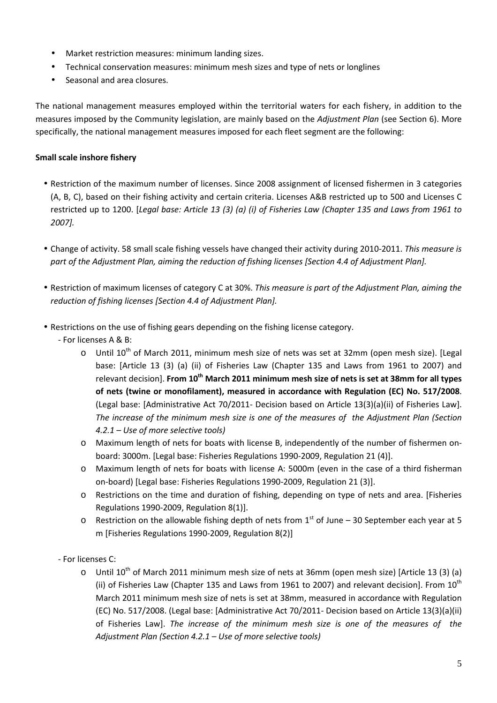- Market restriction measures: minimum landing sizes.
- Technical conservation measures: minimum mesh sizes and type of nets or longlines
- Seasonal and area closures.

The national management measures employed within the territorial waters for each fishery, in addition to the measures imposed by the Community legislation, are mainly based on the *Adjustment Plan* (see Section 6). More specifically, the national management measures imposed for each fleet segment are the following:

#### **Small scale inshore fishery**

- Restriction of the maximum number of licenses. Since 2008 assignment of licensed fishermen in 3 categories (A, B, C), based on their fishing activity and certain criteria. Licenses A&B restricted up to 500 and Licenses C restricted up to 1200. [*Legal base: Article 13 (3) (a) (i) of Fisheries Law (Chapter 135 and Laws from 1961 to 2007].*
- Change of activity. 58 small scale fishing vessels have changed their activity during 2010-2011. *This measure is part of the Adjustment Plan, aiming the reduction of fishing licenses [Section 4.4 of Adjustment Plan].*
- Restriction of maximum licenses of category C at 30%. *This measure is part of the Adjustment Plan, aiming the reduction of fishing licenses [Section 4.4 of Adjustment Plan].*
- Restrictions on the use of fishing gears depending on the fishing license category.
	- For licenses A & B:
		- $\circ$  Until 10<sup>th</sup> of March 2011, minimum mesh size of nets was set at 32mm (open mesh size). [Legal base: [Article 13 (3) (a) (ii) of Fisheries Law (Chapter 135 and Laws from 1961 to 2007) and relevant decision]. **From 10th March 2011 minimum mesh size of nets is set at 38mm for all types of nets (twine or monofilament), measured in accordance with Regulation (EC) No. 517/2008**. (Legal base: [Administrative Act 70/2011- Decision based on Article 13(3)(a)(ii) of Fisheries Law]. *The increase of the minimum mesh size is one of the measures of the Adjustment Plan (Section 4.2.1 – Use of more selective tools)*
		- o Maximum length of nets for boats with license B, independently of the number of fishermen onboard: 3000m. [Legal base: Fisheries Regulations 1990-2009, Regulation 21 (4)].
		- o Maximum length of nets for boats with license A: 5000m (even in the case of a third fisherman on-board) [Legal base: Fisheries Regulations 1990-2009, Regulation 21 (3)].
		- o Restrictions on the time and duration of fishing, depending on type of nets and area. [Fisheries Regulations 1990-2009, Regulation 8(1)].
		- o Restriction on the allowable fishing depth of nets from  $1<sup>st</sup>$  of June 30 September each year at 5 m [Fisheries Regulations 1990-2009, Regulation 8(2)]
	- For licenses C:
		- $\circ$  Until 10<sup>th</sup> of March 2011 minimum mesh size of nets at 36mm (open mesh size) [Article 13 (3) (a) (ii) of Fisheries Law (Chapter 135 and Laws from 1961 to 2007) and relevant decision]. From  $10^{\text{th}}$ March 2011 minimum mesh size of nets is set at 38mm, measured in accordance with Regulation (EC) No. 517/2008. (Legal base: [Administrative Act 70/2011- Decision based on Article 13(3)(a)(ii) of Fisheries Law]. *The increase of the minimum mesh size is one of the measures of the Adjustment Plan (Section 4.2.1 – Use of more selective tools)*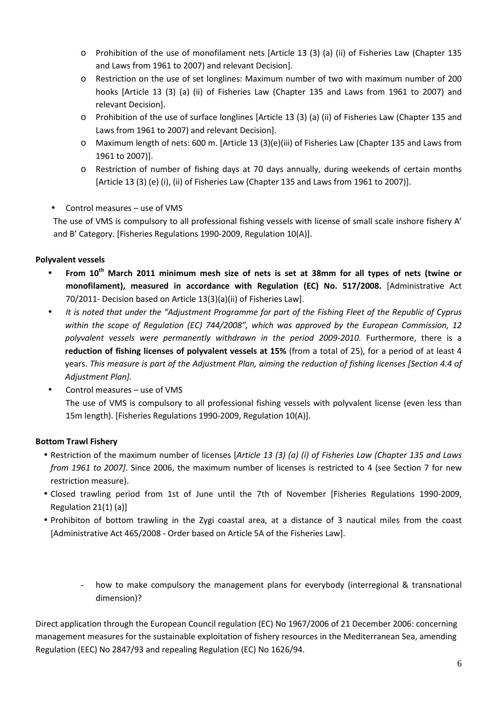- o Prohibition of the use of monofilament nets [Article 13 (3) (a) (ii) of Fisheries Law (Chapter 135 and Laws from 1961 to 2007) and relevant Decision].
- o Restriction on the use of set longlines: Maximum number of two with maximum number of 200 hooks [Article 13 (3) (a) (ii) of Fisheries Law (Chapter 135 and Laws from 1961 to 2007) and relevant Decision].
- o Prohibition of the use of surface longlines [Article 13 (3) (a) (ii) of Fisheries Law (Chapter 135 and Laws from 1961 to 2007) and relevant Decision].
- o Maximum length of nets: 600 m. [Article 13 (3)(e)(iii) of Fisheries Law (Chapter 135 and Laws from 1961 to 2007)].
- o Restriction of number of fishing days at 70 days annually, during weekends of certain months [Article 13 (3) (e) (i), (ii) of Fisheries Law (Chapter 135 and Laws from 1961 to 2007)].
- Control measures use of VMS

The use of VMS is compulsory to all professional fishing vessels with license of small scale inshore fishery A' and B' Category. [Fisheries Regulations 1990-2009, Regulation 10(A)].

## **Polyvalent vessels**

- **From 10th March 2011 minimum mesh size of nets is set at 38mm for all types of nets (twine or monofilament), measured in accordance with Regulation (EC) No. 517/2008.** [Administrative Act 70/2011- Decision based on Article 13(3)(a)(ii) of Fisheries Law].
- *It is noted that under the "Adjustment Programme for part of the Fishing Fleet of the Republic of Cyprus within the scope of Regulation (EC) 744/2008", which was approved by the European Commission, 12*  polyvalent vessels were permanently withdrawn in the period 2009-2010. Furthermore, there is a **reduction of fishing licenses of polyvalent vessels at 15%** (from a total of 25), for a period of at least 4 years. *This measure is part of the Adjustment Plan, aiming the reduction of fishing licenses [Section 4.4 of Adjustment Plan].*
- Control measures use of VMS The use of VMS is compulsory to all professional fishing vessels with polyvalent license (even less than 15m length). [Fisheries Regulations 1990-2009, Regulation 10(A)].

# **Bottom Trawl Fishery**

- Restriction of the maximum number of licenses [*Article 13 (3) (a) (i) of Fisheries Law (Chapter 135 and Laws from 1961 to 2007]*. Since 2006, the maximum number of licenses is restricted to 4 (see Section 7 for new restriction measure).
- Closed trawling period from 1st of June until the 7th of November [Fisheries Regulations 1990-2009, Regulation 21(1) (a)]
- Prohibiton of bottom trawling in the Zygi coastal area, at a distance of 3 nautical miles from the coast [Administrative Act 465/2008 - Order based on Article 5A of the Fisheries Law].
	- how to make compulsory the management plans for everybody (interregional & transnational dimension)?

Direct application through the European Council regulation (EC) No 1967/2006 of 21 December 2006: concerning management measures for the sustainable exploitation of fishery resources in the Mediterranean Sea, amending Regulation (EEC) No 2847/93 and repealing Regulation (EC) No 1626/94.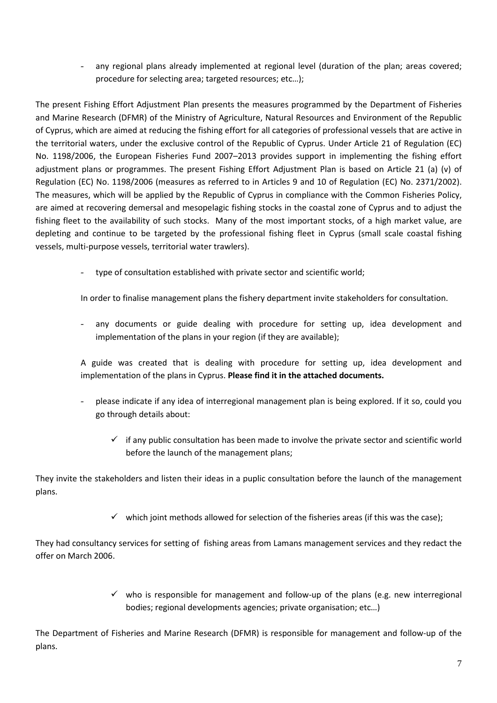any regional plans already implemented at regional level (duration of the plan; areas covered; procedure for selecting area; targeted resources; etc…);

The present Fishing Effort Adjustment Plan presents the measures programmed by the Department of Fisheries and Marine Research (DFMR) of the Ministry of Agriculture, Natural Resources and Environment of the Republic of Cyprus, which are aimed at reducing the fishing effort for all categories of professional vessels that are active in the territorial waters, under the exclusive control of the Republic of Cyprus. Under Article 21 of Regulation (EC) No. 1198/2006, the European Fisheries Fund 2007–2013 provides support in implementing the fishing effort adjustment plans or programmes. The present Fishing Effort Adjustment Plan is based on Article 21 (a) (v) of Regulation (EC) No. 1198/2006 (measures as referred to in Articles 9 and 10 of Regulation (EC) No. 2371/2002). The measures, which will be applied by the Republic of Cyprus in compliance with the Common Fisheries Policy, are aimed at recovering demersal and mesopelagic fishing stocks in the coastal zone of Cyprus and to adjust the fishing fleet to the availability of such stocks. Many of the most important stocks, of a high market value, are depleting and continue to be targeted by the professional fishing fleet in Cyprus (small scale coastal fishing vessels, multi-purpose vessels, territorial water trawlers).

type of consultation established with private sector and scientific world;

In order to finalise management plans the fishery department invite stakeholders for consultation.

- any documents or guide dealing with procedure for setting up, idea development and implementation of the plans in your region (if they are available);

A guide was created that is dealing with procedure for setting up, idea development and implementation of the plans in Cyprus. **Please find it in the attached documents.** 

- please indicate if any idea of interregional management plan is being explored. If it so, could you go through details about:
	- $\checkmark$  if any public consultation has been made to involve the private sector and scientific world before the launch of the management plans;

They invite the stakeholders and listen their ideas in a puplic consultation before the launch of the management plans.

 $\checkmark$  which joint methods allowed for selection of the fisheries areas (if this was the case);

They had consultancy services for setting of fishing areas from Lamans management services and they redact the offer on March 2006.

> $\checkmark$  who is responsible for management and follow-up of the plans (e.g. new interregional bodies; regional developments agencies; private organisation; etc…)

The Department of Fisheries and Marine Research (DFMR) is responsible for management and follow-up of the plans.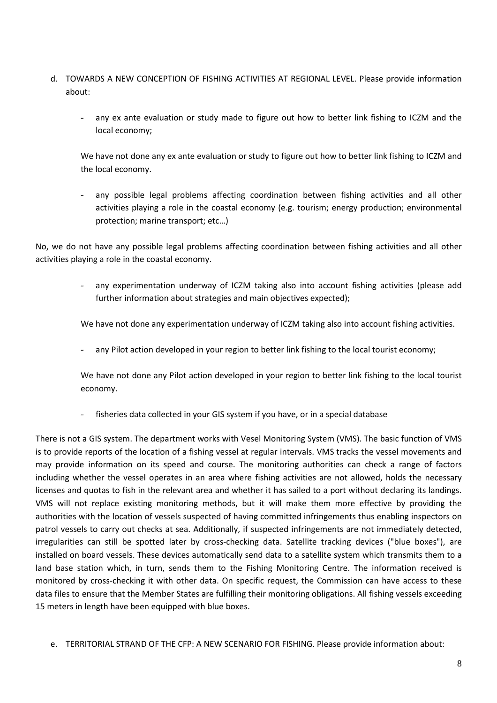- d. TOWARDS A NEW CONCEPTION OF FISHING ACTIVITIES AT REGIONAL LEVEL. Please provide information about:
	- any ex ante evaluation or study made to figure out how to better link fishing to ICZM and the local economy;

We have not done any ex ante evaluation or study to figure out how to better link fishing to ICZM and the local economy.

- any possible legal problems affecting coordination between fishing activities and all other activities playing a role in the coastal economy (e.g. tourism; energy production; environmental protection; marine transport; etc…)

No, we do not have any possible legal problems affecting coordination between fishing activities and all other activities playing a role in the coastal economy.

> - any experimentation underway of ICZM taking also into account fishing activities (please add further information about strategies and main objectives expected);

We have not done any experimentation underway of ICZM taking also into account fishing activities.

any Pilot action developed in your region to better link fishing to the local tourist economy;

We have not done any Pilot action developed in your region to better link fishing to the local tourist economy.

fisheries data collected in your GIS system if you have, or in a special database

There is not a GIS system. The department works with Vesel Monitoring System (VMS). The basic function of VMS is to provide reports of the location of a fishing vessel at regular intervals. VMS tracks the vessel movements and may provide information on its speed and course. The monitoring authorities can check a range of factors including whether the vessel operates in an area where fishing activities are not allowed, holds the necessary licenses and quotas to fish in the relevant area and whether it has sailed to a port without declaring its landings. VMS will not replace existing monitoring methods, but it will make them more effective by providing the authorities with the location of vessels suspected of having committed infringements thus enabling inspectors on patrol vessels to carry out checks at sea. Additionally, if suspected infringements are not immediately detected, irregularities can still be spotted later by cross-checking data. Satellite tracking devices ("blue boxes"), are installed on board vessels. These devices automatically send data to a satellite system which transmits them to a land base station which, in turn, sends them to the Fishing Monitoring Centre. The information received is monitored by cross-checking it with other data. On specific request, the Commission can have access to these data files to ensure that the Member States are fulfilling their monitoring obligations. All fishing vessels exceeding 15 meters in length have been equipped with blue boxes.

e. TERRITORIAL STRAND OF THE CFP: A NEW SCENARIO FOR FISHING. Please provide information about: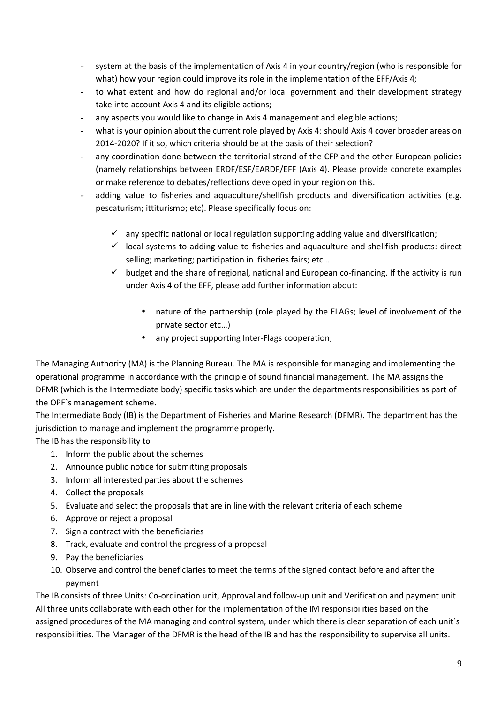- system at the basis of the implementation of Axis 4 in your country/region (who is responsible for what) how your region could improve its role in the implementation of the EFF/Axis 4;
- to what extent and how do regional and/or local government and their development strategy take into account Axis 4 and its eligible actions;
- any aspects you would like to change in Axis 4 management and elegible actions;
- what is your opinion about the current role played by Axis 4: should Axis 4 cover broader areas on 2014-2020? If it so, which criteria should be at the basis of their selection?
- any coordination done between the territorial strand of the CFP and the other European policies (namely relationships between ERDF/ESF/EARDF/EFF (Axis 4). Please provide concrete examples or make reference to debates/reflections developed in your region on this.
- adding value to fisheries and aquaculture/shellfish products and diversification activities (e.g. pescaturism; ittiturismo; etc). Please specifically focus on:
	- $\checkmark$  any specific national or local regulation supporting adding value and diversification;
	- $\checkmark$  local systems to adding value to fisheries and aquaculture and shellfish products: direct selling; marketing; participation in fisheries fairs; etc…
	- $\checkmark$  budget and the share of regional, national and European co-financing. If the activity is run under Axis 4 of the EFF, please add further information about:
		- nature of the partnership (role played by the FLAGs; level of involvement of the private sector etc…)
		- any project supporting Inter-Flags cooperation;

The Managing Authority (MA) is the Planning Bureau. The MA is responsible for managing and implementing the operational programme in accordance with the principle of sound financial management. The MA assigns the DFMR (which is the Intermediate body) specific tasks which are under the departments responsibilities as part of the OPF`s management scheme.

The Intermediate Body (IB) is the Department of Fisheries and Marine Research (DFMR). The department has the jurisdiction to manage and implement the programme properly.

The IB has the responsibility to

- 1. Inform the public about the schemes
- 2. Announce public notice for submitting proposals
- 3. Inform all interested parties about the schemes
- 4. Collect the proposals
- 5. Evaluate and select the proposals that are in line with the relevant criteria of each scheme
- 6. Approve or reject a proposal
- 7. Sign a contract with the beneficiaries
- 8. Track, evaluate and control the progress of a proposal
- 9. Pay the beneficiaries
- 10. Observe and control the beneficiaries to meet the terms of the signed contact before and after the payment

The IB consists of three Units: Co-ordination unit, Approval and follow-up unit and Verification and payment unit. All three units collaborate with each other for the implementation of the IM responsibilities based on the assigned procedures of the MA managing and control system, under which there is clear separation of each unit´s responsibilities. The Manager of the DFMR is the head of the IB and has the responsibility to supervise all units.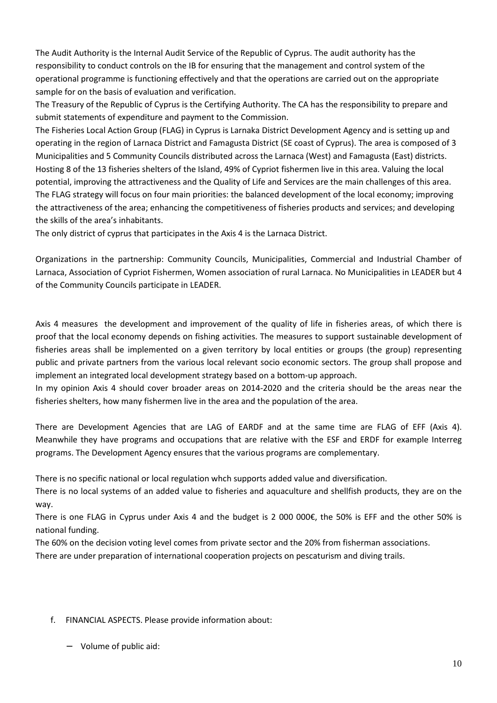The Audit Authority is the Internal Audit Service of the Republic of Cyprus. The audit authority has the responsibility to conduct controls on the IB for ensuring that the management and control system of the operational programme is functioning effectively and that the operations are carried out on the appropriate sample for on the basis of evaluation and verification.

The Treasury of the Republic of Cyprus is the Certifying Authority. The CA has the responsibility to prepare and submit statements of expenditure and payment to the Commission.

The Fisheries Local Action Group (FLAG) in Cyprus is Larnaka District Development Agency and is setting up and operating in the region of Larnaca District and Famagusta District (SE coast of Cyprus). The area is composed of 3 Municipalities and 5 Community Councils distributed across the Larnaca (West) and Famagusta (East) districts. Hosting 8 of the 13 fisheries shelters of the Island, 49% of Cypriot fishermen live in this area. Valuing the local potential, improving the attractiveness and the Quality of Life and Services are the main challenges of this area. The FLAG strategy will focus on four main priorities: the balanced development of the local economy; improving the attractiveness of the area; enhancing the competitiveness of fisheries products and services; and developing the skills of the area's inhabitants.

The only district of cyprus that participates in the Axis 4 is the Larnaca District.

Organizations in the partnership: Community Councils, Municipalities, Commercial and Industrial Chamber of Larnaca, Association of Cypriot Fishermen, Women association of rural Larnaca. No Municipalities in LEADER but 4 of the Community Councils participate in LEADER.

Axis 4 measures the development and improvement of the quality of life in fisheries areas, of which there is proof that the local economy depends on fishing activities. The measures to support sustainable development of fisheries areas shall be implemented on a given territory by local entities or groups (the group) representing public and private partners from the various local relevant socio economic sectors. The group shall propose and implement an integrated local development strategy based on a bottom-up approach.

In my opinion Axis 4 should cover broader areas on 2014-2020 and the criteria should be the areas near the fisheries shelters, how many fishermen live in the area and the population of the area.

There are Development Agencies that are LAG of EARDF and at the same time are FLAG of EFF (Axis 4). Meanwhile they have programs and occupations that are relative with the ESF and ERDF for example Interreg programs. The Development Agency ensures that the various programs are complementary.

There is no specific national or local regulation whch supports added value and diversification.

There is no local systems of an added value to fisheries and aquaculture and shellfish products, they are on the way.

There is one FLAG in Cyprus under Axis 4 and the budget is 2 000 000€, the 50% is EFF and the other 50% is national funding.

The 60% on the decision voting level comes from private sector and the 20% from fisherman associations.

There are under preparation of international cooperation projects on pescaturism and diving trails.

### f. FINANCIAL ASPECTS. Please provide information about:

− Volume of public aid: